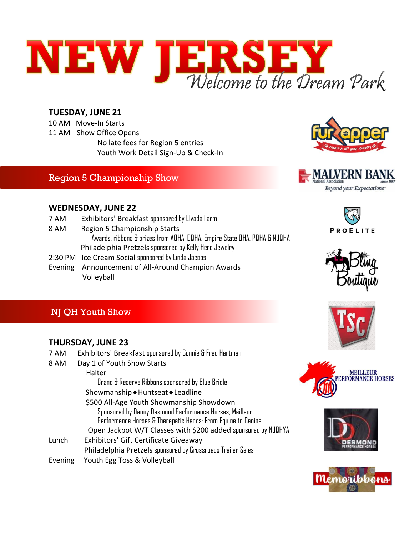

#### **TUESDAY, JUNE 21**

10 AM Move-In Starts 11 AM Show Office Opens No late fees for Region 5 entries Youth Work Detail Sign-Up & Check-In

#### Region 5 Championship Show





#### **WEDNESDAY, JUNE 22**

- 7 AM Exhibitors' Breakfast sponsored by Elvada Farm
- 8 AM Region 5 Championship Starts Awards, ribbons & prizes from AQHA, DQHA, Empire State QHA. PQHA & NJQHA Philadelphia Pretzels sponsored by Kelly Herd Jewelry
- 2:30 PM Ice Cream Social sponsored by Linda Jacobs
- Evening Announcement of All-Around Champion Awards Volleyball





#### NJ QH Youth Show

#### **THURSDAY, JUNE 23**

- 7 AM Exhibitors' Breakfast sponsored by Connie & Fred Hartman
- 8 AM Day 1 of Youth Show Starts

Halter

Grand & Reserve Ribbons sponsored by Blue Bridle

- Showmanship Huntseat Leadline
- \$500 All-Age Youth Showmanship Showdown
	- Sponsored by Danny Desmond Performance Horses, Meilleur Performance Horses & Therapetic Hands: From Equine to Canine Open Jackpot W/T Classes with \$200 added sponsored by NJQHYA
- Lunch Exhibitors' Gift Certificate Giveaway Philadelphia Pretzels sponsored by Crossroads Trailer Sales Evening Youth Egg Toss & Volleyball







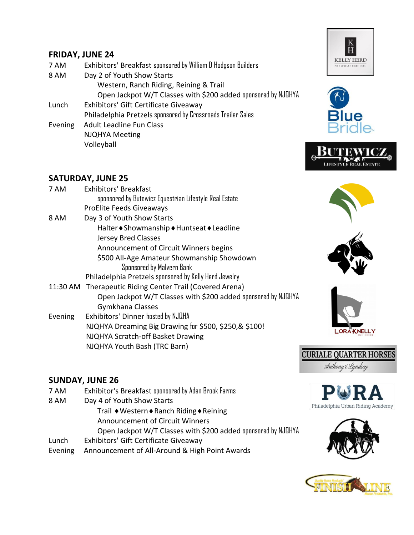#### **FRIDAY, JUNE 24**

- 7 AM Exhibitors' Breakfast sponsored by William D Hodgson Builders
- 8 AM Day 2 of Youth Show Starts Western, Ranch Riding, Reining & Trail

Open Jackpot W/T Classes with \$200 added sponsored by NJQHYA

- Lunch Exhibitors' Gift Certificate Giveaway Philadelphia Pretzels sponsored by Crossroads Trailer Sales Evening Adult Leadline Fun Class
	- NJQHYA Meeting Volleyball







#### **SATURDAY, JUNE 25**

| 7 AM    | <b>Exhibitors' Breakfast</b>                                  |
|---------|---------------------------------------------------------------|
|         | sponsored by Butewicz Equestrian Lifestyle Real Estate        |
|         | <b>ProElite Feeds Giveaways</b>                               |
| 8 AM    | Day 3 of Youth Show Starts                                    |
|         | Halter • Showmanship • Huntseat • Leadline                    |
|         | <b>Jersey Bred Classes</b>                                    |
|         | Announcement of Circuit Winners begins                        |
|         | \$500 All-Age Amateur Showmanship Showdown                    |
|         | Sponsored by Malvern Bank                                     |
|         | Philadelphia Pretzels sponsored by Kelly Herd Jewelry         |
|         | 11:30 AM Therapeutic Riding Center Trail (Covered Arena)      |
|         | Open Jackpot W/T Classes with \$200 added sponsored by NJQHYA |
|         | Gymkhana Classes                                              |
| Evening | Exhibitors' Dinner hosted by NJQHA                            |
|         | NJQHYA Dreaming Big Drawing for \$500, \$250,& \$100!         |



**LORA KNELLY** 

**CURIALE QUARTER HORSES** Anthony & Lyndsey

#### **SUNDAY, JUNE 26**

7 AM Exhibitor's Breakfast sponsored by Aden Brook Farms

 NJQHYA Scratch-off Basket Drawing NJQHYA Youth Bash (TRC Barn)

- 8 AM Day 4 of Youth Show Starts
	- Trail ♦ Western ♦ Ranch Riding ♦ Reining Announcement of Circuit Winners Open Jackpot W/T Classes with \$200 added sponsored by NJQHYA
- Lunch Exhibitors' Gift Certificate Giveaway
- Evening Announcement of All-Around & High Point Awards



Philadelphia Urban Riding Academy





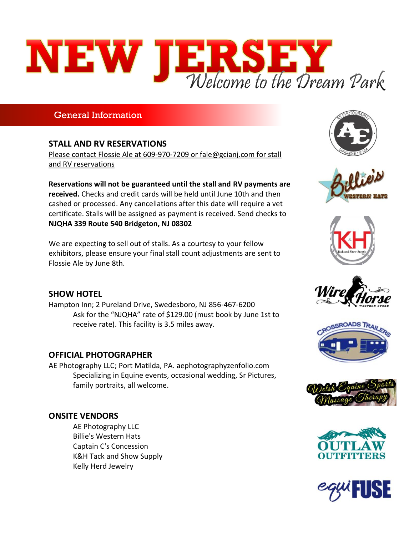# NEW JERSEY

### General Information

#### **STALL AND RV RESERVATIONS**

Please contact Flossie Ale at 609-970-7209 or fale@gcianj.com for stall and RV reservations

**Reservations will not be guaranteed until the stall and RV payments are received.** Checks and credit cards will be held until June 10th and then cashed or processed. Any cancellations after this date will require a vet certificate. Stalls will be assigned as payment is received. Send checks to **NJQHA 339 Route 540 Bridgeton, NJ 08302**

We are expecting to sell out of stalls. As a courtesy to your fellow exhibitors, please ensure your final stall count adjustments are sent to Flossie Ale by June 8th.

#### **SHOW HOTEL**

Hampton Inn; 2 Pureland Drive, Swedesboro, NJ 856-467-6200 Ask for the "NJQHA" rate of \$129.00 (must book by June 1st to receive rate). This facility is 3.5 miles away.

#### **OFFICIAL PHOTOGRAPHER**

AE Photography LLC; Port Matilda, PA. aephotographyzenfolio.com Specializing in Equine events, occasional wedding, Sr Pictures, family portraits, all welcome.

#### **ONSITE VENDORS**

AE Photography LLC Billie's Western Hats Captain C's Concession K&H Tack and Show Supply Kelly Herd Jewelry